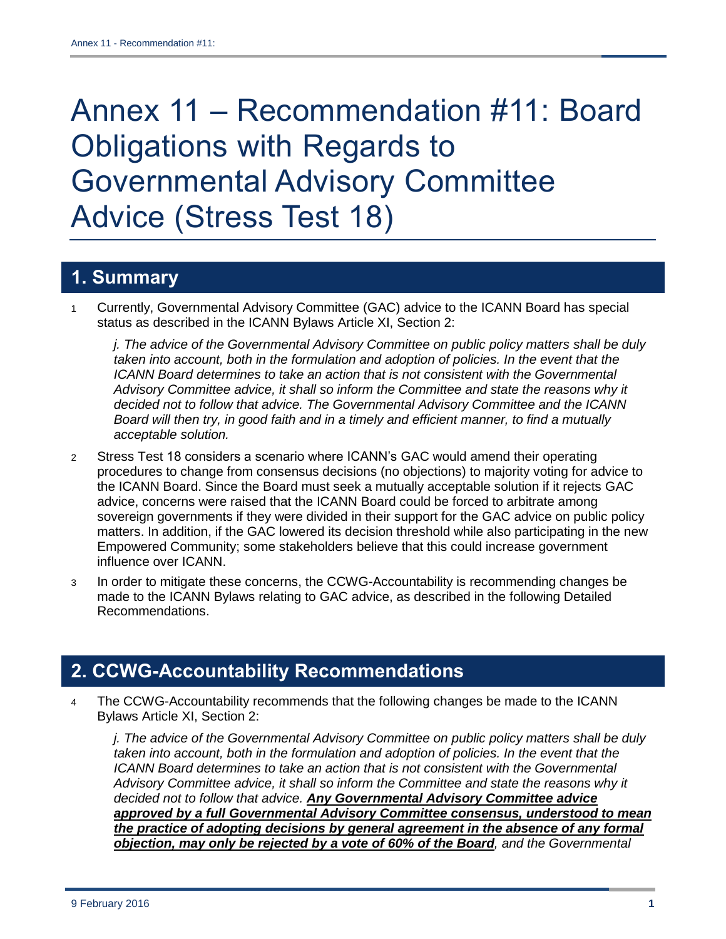# Annex 11 – Recommendation #11: Board Obligations with Regards to Governmental Advisory Committee Advice (Stress Test 18)

# **1. Summary**

1 Currently, Governmental Advisory Committee (GAC) advice to the ICANN Board has special status as described in the ICANN Bylaws Article XI, Section 2:

*j. The advice of the Governmental Advisory Committee on public policy matters shall be duly taken into account, both in the formulation and adoption of policies. In the event that the ICANN Board determines to take an action that is not consistent with the Governmental Advisory Committee advice, it shall so inform the Committee and state the reasons why it decided not to follow that advice. The Governmental Advisory Committee and the ICANN Board will then try, in good faith and in a timely and efficient manner, to find a mutually acceptable solution.*

- 2 Stress Test 18 considers a scenario where ICANN's GAC would amend their operating procedures to change from consensus decisions (no objections) to majority voting for advice to the ICANN Board. Since the Board must seek a mutually acceptable solution if it rejects GAC advice, concerns were raised that the ICANN Board could be forced to arbitrate among sovereign governments if they were divided in their support for the GAC advice on public policy matters. In addition, if the GAC lowered its decision threshold while also participating in the new Empowered Community; some stakeholders believe that this could increase government influence over ICANN.
- 3 In order to mitigate these concerns, the CCWG-Accountability is recommending changes be made to the ICANN Bylaws relating to GAC advice, as described in the following Detailed Recommendations.

## **2. CCWG-Accountability Recommendations**

4 The CCWG-Accountability recommends that the following changes be made to the ICANN Bylaws Article XI, Section 2:

*j. The advice of the Governmental Advisory Committee on public policy matters shall be duly taken into account, both in the formulation and adoption of policies. In the event that the ICANN Board determines to take an action that is not consistent with the Governmental Advisory Committee advice, it shall so inform the Committee and state the reasons why it decided not to follow that advice. Any Governmental Advisory Committee advice approved by a full Governmental Advisory Committee consensus, understood to mean the practice of adopting decisions by general agreement in the absence of any formal objection, may only be rejected by a vote of 60% of the Board, and the Governmental*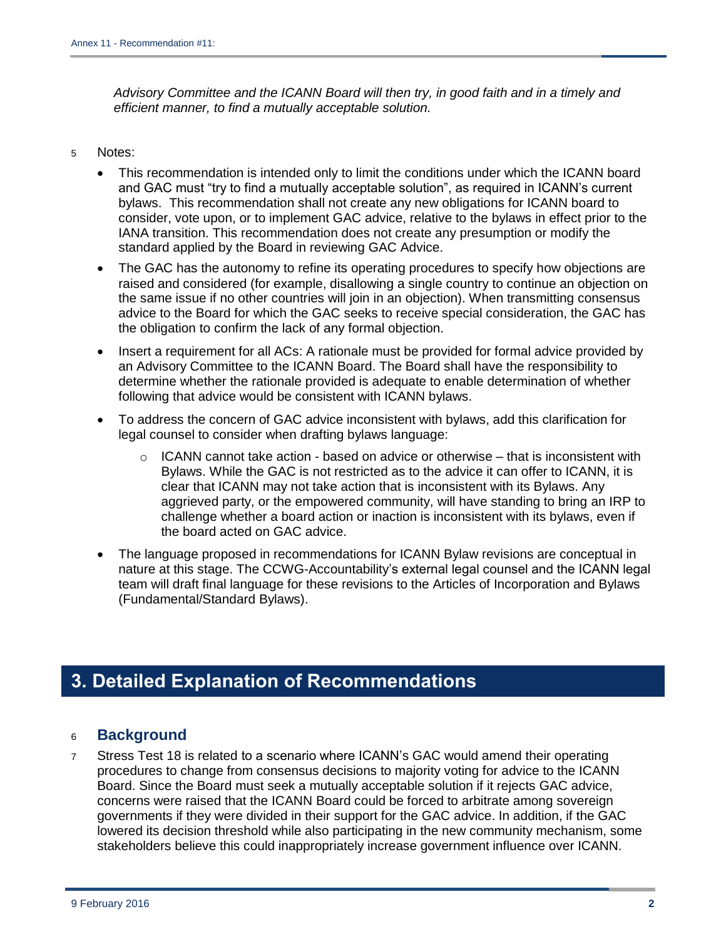*Advisory Committee and the ICANN Board will then try, in good faith and in a timely and efficient manner, to find a mutually acceptable solution.*

#### 5 Notes:

- This recommendation is intended only to limit the conditions under which the ICANN board and GAC must "try to find a mutually acceptable solution", as required in ICANN's current bylaws. This recommendation shall not create any new obligations for ICANN board to consider, vote upon, or to implement GAC advice, relative to the bylaws in effect prior to the IANA transition. This recommendation does not create any presumption or modify the standard applied by the Board in reviewing GAC Advice.
- The GAC has the autonomy to refine its operating procedures to specify how objections are raised and considered (for example, disallowing a single country to continue an objection on the same issue if no other countries will join in an objection). When transmitting consensus advice to the Board for which the GAC seeks to receive special consideration, the GAC has the obligation to confirm the lack of any formal objection.
- Insert a requirement for all ACs: A rationale must be provided for formal advice provided by an Advisory Committee to the ICANN Board. The Board shall have the responsibility to determine whether the rationale provided is adequate to enable determination of whether following that advice would be consistent with ICANN bylaws.
- To address the concern of GAC advice inconsistent with bylaws, add this clarification for legal counsel to consider when drafting bylaws language:
	- $\circ$  ICANN cannot take action based on advice or otherwise that is inconsistent with Bylaws. While the GAC is not restricted as to the advice it can offer to ICANN, it is clear that ICANN may not take action that is inconsistent with its Bylaws. Any aggrieved party, or the empowered community, will have standing to bring an IRP to challenge whether a board action or inaction is inconsistent with its bylaws, even if the board acted on GAC advice.
- The language proposed in recommendations for ICANN Bylaw revisions are conceptual in nature at this stage. The CCWG-Accountability's external legal counsel and the ICANN legal team will draft final language for these revisions to the Articles of Incorporation and Bylaws (Fundamental/Standard Bylaws).

# **3. Detailed Explanation of Recommendations**

#### <sup>6</sup> **Background**

7 Stress Test 18 is related to a scenario where ICANN's GAC would amend their operating procedures to change from consensus decisions to majority voting for advice to the ICANN Board. Since the Board must seek a mutually acceptable solution if it rejects GAC advice, concerns were raised that the ICANN Board could be forced to arbitrate among sovereign governments if they were divided in their support for the GAC advice. In addition, if the GAC lowered its decision threshold while also participating in the new community mechanism, some stakeholders believe this could inappropriately increase government influence over ICANN.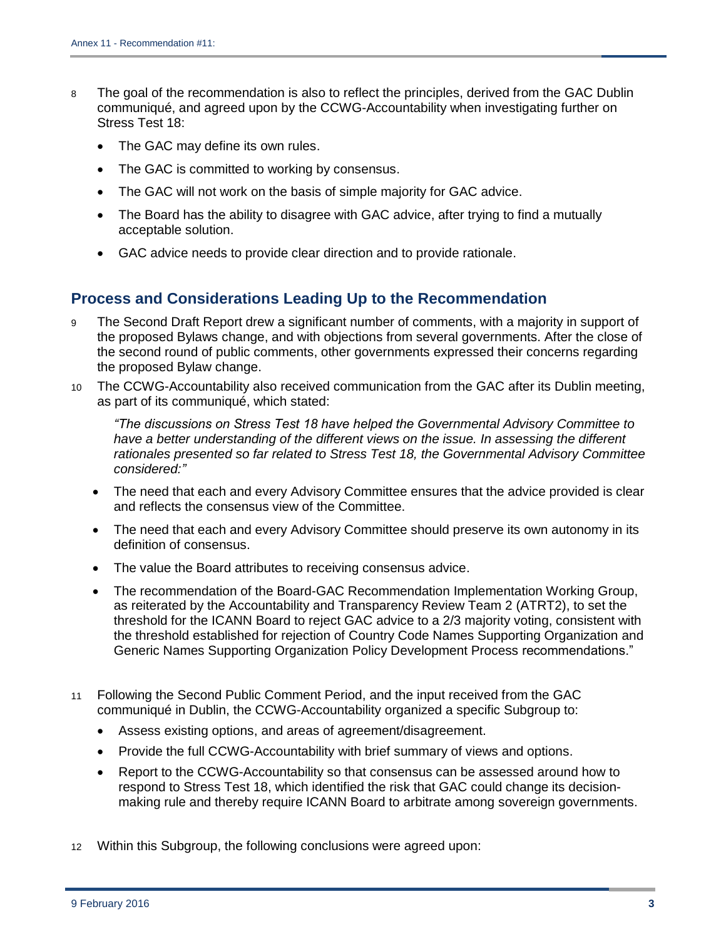- 8 The goal of the recommendation is also to reflect the principles, derived from the GAC Dublin communiqué, and agreed upon by the CCWG-Accountability when investigating further on Stress Test 18:
	- The GAC may define its own rules.
	- The GAC is committed to working by consensus.
	- The GAC will not work on the basis of simple majority for GAC advice.
	- The Board has the ability to disagree with GAC advice, after trying to find a mutually acceptable solution.
	- GAC advice needs to provide clear direction and to provide rationale.

## **Process and Considerations Leading Up to the Recommendation**

- The Second Draft Report drew a significant number of comments, with a majority in support of the proposed Bylaws change, and with objections from several governments. After the close of the second round of public comments, other governments expressed their concerns regarding the proposed Bylaw change.
- 10 The CCWG-Accountability also received communication from the GAC after its Dublin meeting, as part of its communiqué, which stated:

*"The discussions on Stress Test 18 have helped the Governmental Advisory Committee to*  have a better understanding of the different views on the *issue. In assessing the different rationales presented so far related to Stress Test 18, the Governmental Advisory Committee considered:"*

- The need that each and every Advisory Committee ensures that the advice provided is clear and reflects the consensus view of the Committee.
- The need that each and every Advisory Committee should preserve its own autonomy in its definition of consensus.
- The value the Board attributes to receiving consensus advice.
- The recommendation of the Board-GAC Recommendation Implementation Working Group, as reiterated by the Accountability and Transparency Review Team 2 (ATRT2), to set the threshold for the ICANN Board to reject GAC advice to a 2/3 majority voting, consistent with the threshold established for rejection of Country Code Names Supporting Organization and Generic Names Supporting Organization Policy Development Process recommendations."
- 11 Following the Second Public Comment Period, and the input received from the GAC communiqué in Dublin, the CCWG-Accountability organized a specific Subgroup to:
	- Assess existing options, and areas of agreement/disagreement.
	- Provide the full CCWG-Accountability with brief summary of views and options.
	- Report to the CCWG-Accountability so that consensus can be assessed around how to respond to Stress Test 18, which identified the risk that GAC could change its decisionmaking rule and thereby require ICANN Board to arbitrate among sovereign governments.
- 12 Within this Subgroup, the following conclusions were agreed upon: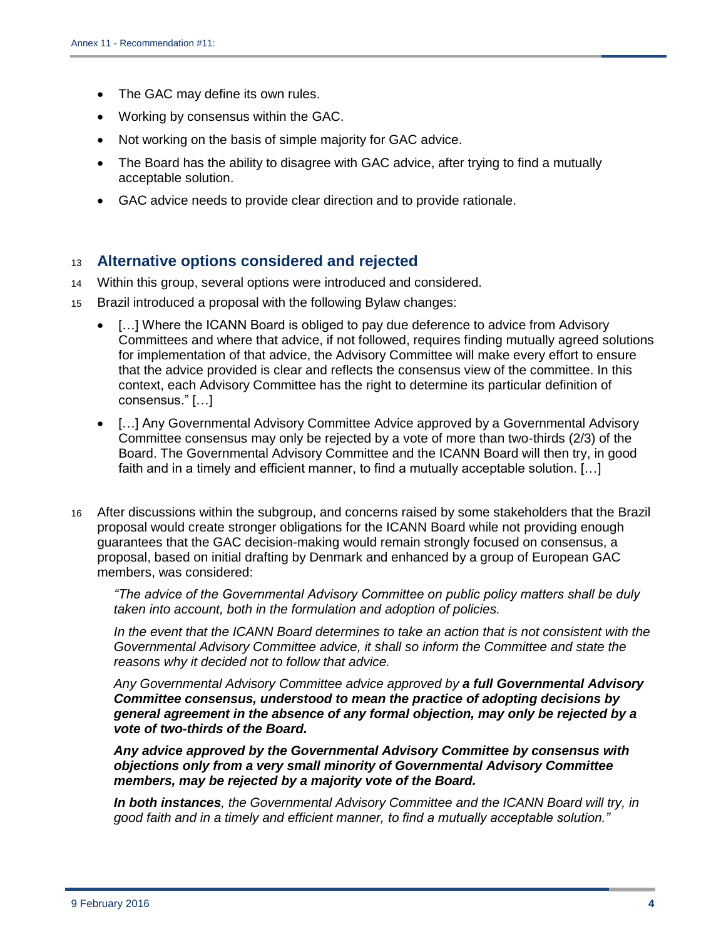- The GAC may define its own rules.
- Working by consensus within the GAC.
- Not working on the basis of simple majority for GAC advice.
- The Board has the ability to disagree with GAC advice, after trying to find a mutually acceptable solution.
- GAC advice needs to provide clear direction and to provide rationale.

### <sup>13</sup> **Alternative options considered and rejected**

- 14 Within this group, several options were introduced and considered.
- 15 Brazil introduced a proposal with the following Bylaw changes:
	- [...] Where the ICANN Board is obliged to pay due deference to advice from Advisory Committees and where that advice, if not followed, requires finding mutually agreed solutions for implementation of that advice, the Advisory Committee will make every effort to ensure that the advice provided is clear and reflects the consensus view of the committee. In this context, each Advisory Committee has the right to determine its particular definition of consensus." […]
	- […] Any Governmental Advisory Committee Advice approved by a Governmental Advisory Committee consensus may only be rejected by a vote of more than two-thirds (2/3) of the Board. The Governmental Advisory Committee and the ICANN Board will then try, in good faith and in a timely and efficient manner, to find a mutually acceptable solution. […]
- 16 After discussions within the subgroup, and concerns raised by some stakeholders that the Brazil proposal would create stronger obligations for the ICANN Board while not providing enough guarantees that the GAC decision-making would remain strongly focused on consensus, a proposal, based on initial drafting by Denmark and enhanced by a group of European GAC members, was considered:

*"The advice of the Governmental Advisory Committee on public policy matters shall be duly taken into account, both in the formulation and adoption of policies.* 

*In the event that the ICANN Board determines to take an action that is not consistent with the Governmental Advisory Committee advice, it shall so inform the Committee and state the reasons why it decided not to follow that advice.*

*Any Governmental Advisory Committee advice approved by a full Governmental Advisory Committee consensus, understood to mean the practice of adopting decisions by general agreement in the absence of any formal objection, may only be rejected by a vote of two-thirds of the Board.* 

*Any advice approved by the Governmental Advisory Committee by consensus with objections only from a very small minority of Governmental Advisory Committee members, may be rejected by a majority vote of the Board.* 

*In both instances, the Governmental Advisory Committee and the ICANN Board will try, in good faith and in a timely and efficient manner, to find a mutually acceptable solution."*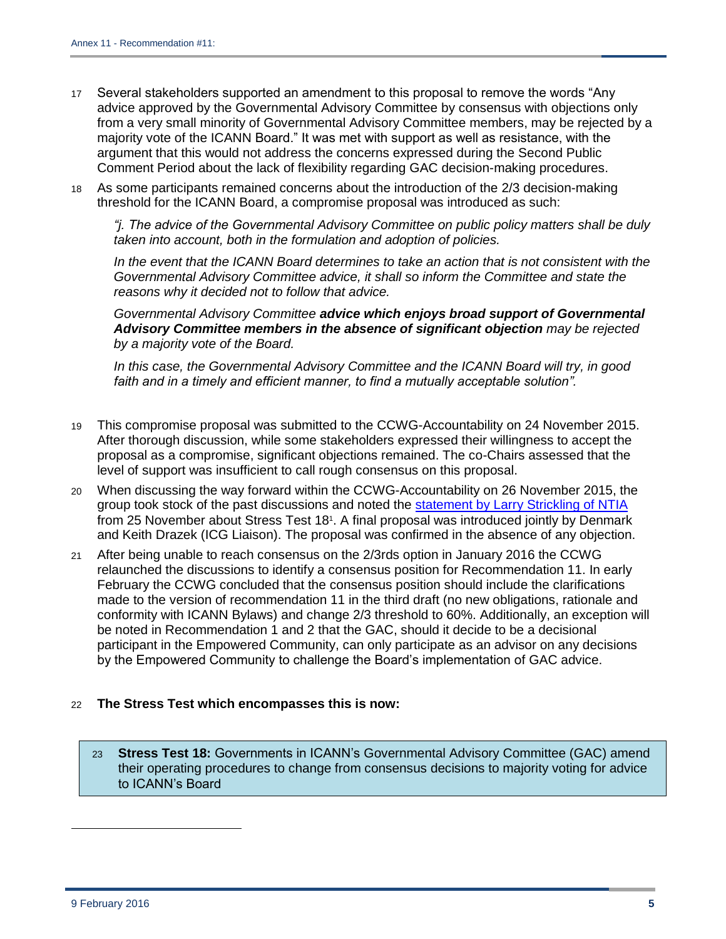- 17 Several stakeholders supported an amendment to this proposal to remove the words "Any advice approved by the Governmental Advisory Committee by consensus with objections only from a very small minority of Governmental Advisory Committee members, may be rejected by a majority vote of the ICANN Board." It was met with support as well as resistance, with the argument that this would not address the concerns expressed during the Second Public Comment Period about the lack of flexibility regarding GAC decision-making procedures.
- 18 As some participants remained concerns about the introduction of the 2/3 decision-making threshold for the ICANN Board, a compromise proposal was introduced as such:

*"j. The advice of the Governmental Advisory Committee on public policy matters shall be duly taken into account, both in the formulation and adoption of policies.*

*In the event that the ICANN Board determines to take an action that is not consistent with the Governmental Advisory Committee advice, it shall so inform the Committee and state the reasons why it decided not to follow that advice.*

*Governmental Advisory Committee advice which enjoys broad support of Governmental Advisory Committee members in the absence of significant objection may be rejected by a majority vote of the Board.*

*In this case, the Governmental Advisory Committee and the ICANN Board will try, in good*  faith and in a timely and efficient manner, to find a mutually acceptable solution".

- 19 This compromise proposal was submitted to the CCWG-Accountability on 24 November 2015. After thorough discussion, while some stakeholders expressed their willingness to accept the proposal as a compromise, significant objections remained. The co-Chairs assessed that the level of support was insufficient to call rough consensus on this proposal.
- 20 When discussing the way forward within the CCWG-Accountability on 26 November 2015, the group took stock of the past discussions and noted the statement [by Larry Strickling of](http://mm.icann.org/pipermail/accountability-cross-community/2015-November/008502.html) NTIA from 25 November about Stress Test 18<sup>1</sup>. A final proposal was introduced jointly by Denmark and Keith Drazek (ICG Liaison). The proposal was confirmed in the absence of any objection.
- 21 After being unable to reach consensus on the 2/3rds option in January 2016 the CCWG relaunched the discussions to identify a consensus position for Recommendation 11. In early February the CCWG concluded that the consensus position should include the clarifications made to the version of recommendation 11 in the third draft (no new obligations, rationale and conformity with ICANN Bylaws) and change 2/3 threshold to 60%. Additionally, an exception will be noted in Recommendation 1 and 2 that the GAC, should it decide to be a decisional participant in the Empowered Community, can only participate as an advisor on any decisions by the Empowered Community to challenge the Board's implementation of GAC advice.

#### 22 **The Stress Test which encompasses this is now:**

23 **Stress Test 18:** Governments in ICANN's Governmental Advisory Committee (GAC) amend their operating procedures to change from consensus decisions to majority voting for advice to ICANN's Board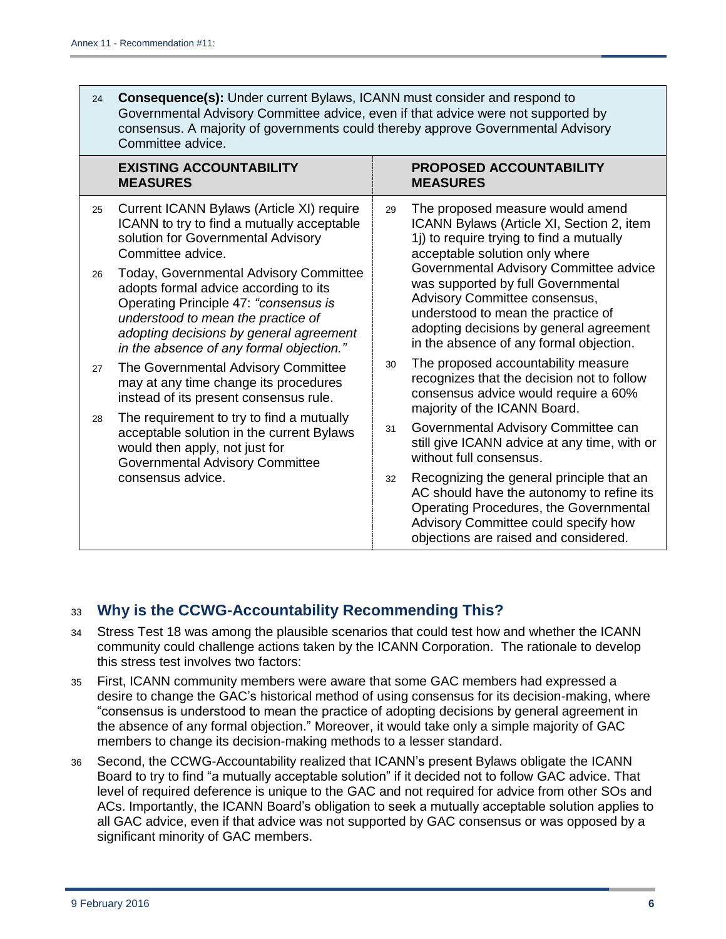| 24 | <b>Consequence(s):</b> Under current Bylaws, ICANN must consider and respond to<br>Governmental Advisory Committee advice, even if that advice were not supported by<br>consensus. A majority of governments could thereby approve Governmental Advisory<br>Committee advice. |    |                                                                                                                                                                                                                   |
|----|-------------------------------------------------------------------------------------------------------------------------------------------------------------------------------------------------------------------------------------------------------------------------------|----|-------------------------------------------------------------------------------------------------------------------------------------------------------------------------------------------------------------------|
|    | <b>EXISTING ACCOUNTABILITY</b><br><b>MEASURES</b>                                                                                                                                                                                                                             |    | PROPOSED ACCOUNTABILITY<br><b>MEASURES</b>                                                                                                                                                                        |
| 25 | Current ICANN Bylaws (Article XI) require<br>ICANN to try to find a mutually acceptable<br>solution for Governmental Advisory<br>Committee advice.                                                                                                                            | 29 | The proposed measure would amend<br>ICANN Bylaws (Article XI, Section 2, item<br>1j) to require trying to find a mutually<br>acceptable solution only where<br>Governmental Advisory Committee advice             |
| 26 | Today, Governmental Advisory Committee<br>adopts formal advice according to its<br>Operating Principle 47: "consensus is<br>understood to mean the practice of<br>adopting decisions by general agreement<br>in the absence of any formal objection."                         |    | was supported by full Governmental<br>Advisory Committee consensus,<br>understood to mean the practice of<br>adopting decisions by general agreement<br>in the absence of any formal objection.                   |
| 27 | The Governmental Advisory Committee<br>may at any time change its procedures<br>instead of its present consensus rule.                                                                                                                                                        | 30 | The proposed accountability measure<br>recognizes that the decision not to follow<br>consensus advice would require a 60%<br>majority of the ICANN Board.                                                         |
| 28 | The requirement to try to find a mutually<br>acceptable solution in the current Bylaws<br>would then apply, not just for<br><b>Governmental Advisory Committee</b><br>consensus advice.                                                                                       | 31 | Governmental Advisory Committee can<br>still give ICANN advice at any time, with or<br>without full consensus.                                                                                                    |
|    |                                                                                                                                                                                                                                                                               | 32 | Recognizing the general principle that an<br>AC should have the autonomy to refine its<br>Operating Procedures, the Governmental<br>Advisory Committee could specify how<br>objections are raised and considered. |

## <sup>33</sup> **Why is the CCWG-Accountability Recommending This?**

- 34 Stress Test 18 was among the plausible scenarios that could test how and whether the ICANN community could challenge actions taken by the ICANN Corporation. The rationale to develop this stress test involves two factors:
- 35 First, ICANN community members were aware that some GAC members had expressed a desire to change the GAC's historical method of using consensus for its decision-making, where "consensus is understood to mean the practice of adopting decisions by general agreement in the absence of any formal objection." Moreover, it would take only a simple majority of GAC members to change its decision-making methods to a lesser standard.
- 36 Second, the CCWG-Accountability realized that ICANN's present Bylaws obligate the ICANN Board to try to find "a mutually acceptable solution" if it decided not to follow GAC advice. That level of required deference is unique to the GAC and not required for advice from other SOs and ACs. Importantly, the ICANN Board's obligation to seek a mutually acceptable solution applies to all GAC advice, even if that advice was not supported by GAC consensus or was opposed by a significant minority of GAC members.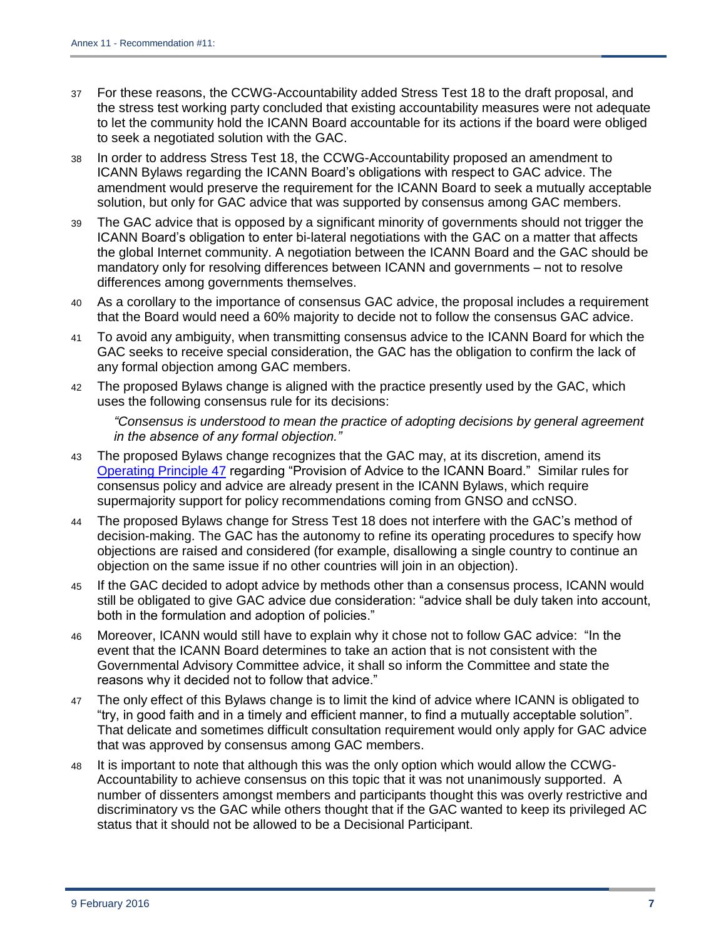- 37 For these reasons, the CCWG-Accountability added Stress Test 18 to the draft proposal, and the stress test working party concluded that existing accountability measures were not adequate to let the community hold the ICANN Board accountable for its actions if the board were obliged to seek a negotiated solution with the GAC.
- 38 In order to address Stress Test 18, the CCWG-Accountability proposed an amendment to ICANN Bylaws regarding the ICANN Board's obligations with respect to GAC advice. The amendment would preserve the requirement for the ICANN Board to seek a mutually acceptable solution, but only for GAC advice that was supported by consensus among GAC members.
- 39 The GAC advice that is opposed by a significant minority of governments should not trigger the ICANN Board's obligation to enter bi-lateral negotiations with the GAC on a matter that affects the global Internet community. A negotiation between the ICANN Board and the GAC should be mandatory only for resolving differences between ICANN and governments – not to resolve differences among governments themselves.
- 40 As a corollary to the importance of consensus GAC advice, the proposal includes a requirement that the Board would need a 60% majority to decide not to follow the consensus GAC advice.
- 41 To avoid any ambiguity, when transmitting consensus advice to the ICANN Board for which the GAC seeks to receive special consideration, the GAC has the obligation to confirm the lack of any formal objection among GAC members.
- 42 The proposed Bylaws change is aligned with the practice presently used by the GAC, which uses the following consensus rule for its decisions:

*"Consensus is understood to mean the practice of adopting decisions by general agreement in the absence of any formal objection."*

- 43 The proposed Bylaws change recognizes that the GAC may, at its discretion, amend its [Operating Principle 47](https://gacweb.icann.org/display/gacweb/GAC+Operating+Principles#GACOperatingPrinciples-XI) regarding "Provision of Advice to the ICANN Board." Similar rules for consensus policy and advice are already present in the ICANN Bylaws, which require supermajority support for policy recommendations coming from GNSO and ccNSO.
- 44 The proposed Bylaws change for Stress Test 18 does not interfere with the GAC's method of decision-making. The GAC has the autonomy to refine its operating procedures to specify how objections are raised and considered (for example, disallowing a single country to continue an objection on the same issue if no other countries will join in an objection).
- 45 If the GAC decided to adopt advice by methods other than a consensus process, ICANN would still be obligated to give GAC advice due consideration: "advice shall be duly taken into account, both in the formulation and adoption of policies."
- 46 Moreover, ICANN would still have to explain why it chose not to follow GAC advice: "In the event that the ICANN Board determines to take an action that is not consistent with the Governmental Advisory Committee advice, it shall so inform the Committee and state the reasons why it decided not to follow that advice."
- 47 The only effect of this Bylaws change is to limit the kind of advice where ICANN is obligated to "try, in good faith and in a timely and efficient manner, to find a mutually acceptable solution". That delicate and sometimes difficult consultation requirement would only apply for GAC advice that was approved by consensus among GAC members.
- 48 It is important to note that although this was the only option which would allow the CCWG-Accountability to achieve consensus on this topic that it was not unanimously supported. A number of dissenters amongst members and participants thought this was overly restrictive and discriminatory vs the GAC while others thought that if the GAC wanted to keep its privileged AC status that it should not be allowed to be a Decisional Participant.